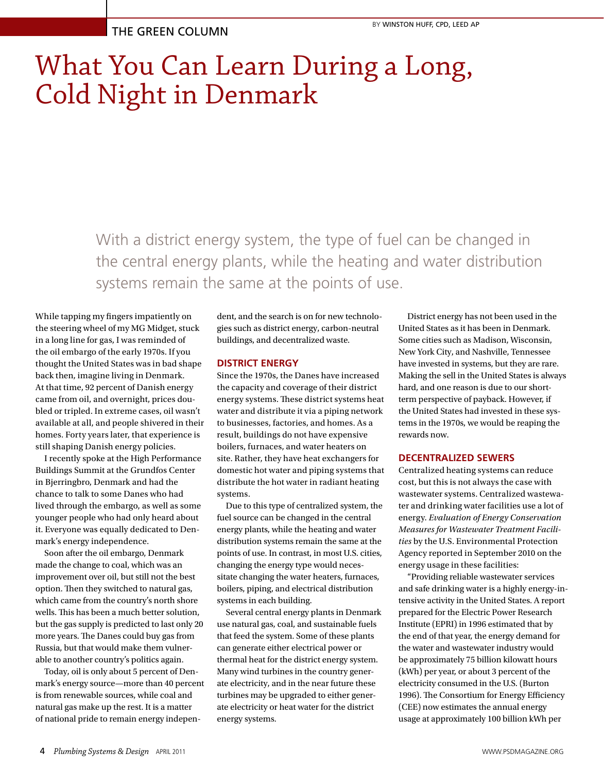## What You Can Learn During a Long, Cold Night in Denmark

With a district energy system, the type of fuel can be changed in the central energy plants, while the heating and water distribution systems remain the same at the points of use.

While tapping my fingers impatiently on the steering wheel of my MG Midget, stuck in a long line for gas, I was reminded of the oil embargo of the early 1970s. If you thought the United States was in bad shape back then, imagine living in Denmark. At that time, 92 percent of Danish energy came from oil, and overnight, prices doubled or tripled. In extreme cases, oil wasn't available at all, and people shivered in their homes. Forty years later, that experience is still shaping Danish energy policies.

I recently spoke at the High Performance Buildings Summit at the Grundfos Center in Bjerringbro, Denmark and had the chance to talk to some Danes who had lived through the embargo, as well as some younger people who had only heard about it. Everyone was equally dedicated to Denmark's energy independence.

Soon after the oil embargo, Denmark made the change to coal, which was an improvement over oil, but still not the best option. Then they switched to natural gas, which came from the country's north shore wells. This has been a much better solution, but the gas supply is predicted to last only 20 more years. The Danes could buy gas from Russia, but that would make them vulnerable to another country's politics again.

Today, oil is only about 5 percent of Denmark's energy source—more than 40 percent is from renewable sources, while coal and natural gas make up the rest. It is a matter of national pride to remain energy independent, and the search is on for new technologies such as district energy, carbon-neutral buildings, and decentralized waste.

## **DISTRICT ENERGY**

Since the 1970s, the Danes have increased the capacity and coverage of their district energy systems. These district systems heat water and distribute it via a piping network to businesses, factories, and homes. As a result, buildings do not have expensive boilers, furnaces, and water heaters on site. Rather, they have heat exchangers for domestic hot water and piping systems that distribute the hot water in radiant heating systems.

Due to this type of centralized system, the fuel source can be changed in the central energy plants, while the heating and water distribution systems remain the same at the points of use. In contrast, in most U.S. cities, changing the energy type would necessitate changing the water heaters, furnaces, boilers, piping, and electrical distribution systems in each building.

Several central energy plants in Denmark use natural gas, coal, and sustainable fuels that feed the system. Some of these plants can generate either electrical power or thermal heat for the district energy system. Many wind turbines in the country generate electricity, and in the near future these turbines may be upgraded to either generate electricity or heat water for the district energy systems.

District energy has not been used in the United States as it has been in Denmark. Some cities such as Madison, Wisconsin, New York City, and Nashville, Tennessee have invested in systems, but they are rare. Making the sell in the United States is always hard, and one reason is due to our shortterm perspective of payback. However, if the United States had invested in these systems in the 1970s, we would be reaping the rewards now.

## **DECENTRALIZED SEWERS**

Centralized heating systems can reduce cost, but this is not always the case with wastewater systems. Centralized wastewater and drinking water facilities use a lot of energy. *Evaluation of Energy Conservation Measures for Wastewater Treatment Facilities* by the U.S. Environmental Protection Agency reported in September 2010 on the energy usage in these facilities:

"Providing reliable wastewater services and safe drinking water is a highly energy-intensive activity in the United States. A report prepared for the Electric Power Research Institute (EPRI) in 1996 estimated that by the end of that year, the energy demand for the water and wastewater industry would be approximately 75 billion kilowatt hours (kWh) per year, or about 3 percent of the electricity consumed in the U.S. (Burton 1996). The Consortium for Energy Efficiency (CEE) now estimates the annual energy usage at approximately 100 billion kWh per